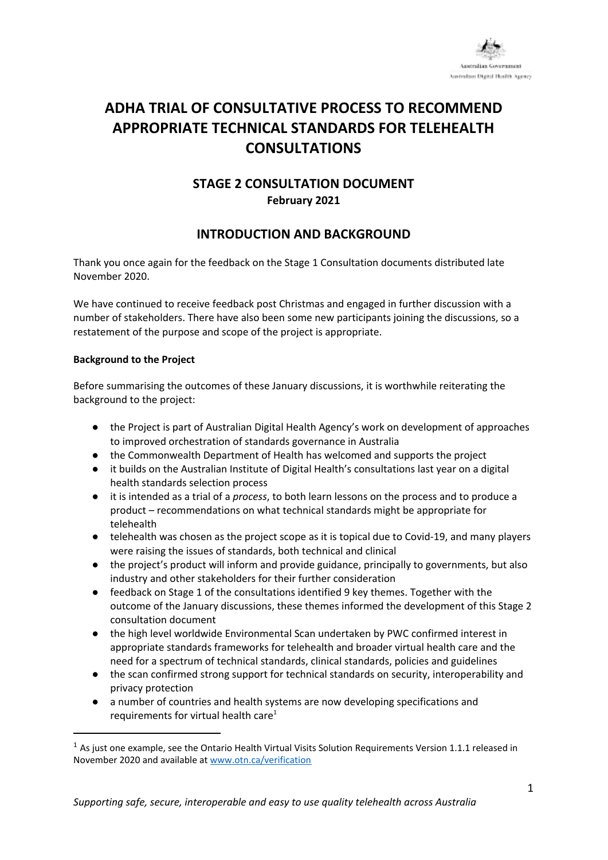

# **ADHA TRIAL OF CONSULTATIVE PROCESS TO RECOMMEND APPROPRIATE TECHNICAL STANDARDS FOR TELEHEALTH CONSULTATIONS**

## **STAGE 2 CONSULTATION DOCUMENT February 2021**

### **INTRODUCTION AND BACKGROUND**

Thank you once again for the feedback on the Stage 1 Consultation documents distributed late November 2020.

We have continued to receive feedback post Christmas and engaged in further discussion with a number of stakeholders. There have also been some new participants joining the discussions, so a restatement of the purpose and scope of the project is appropriate.

#### **Background to the Project**

Before summarising the outcomes of these January discussions, it is worthwhile reiterating the background to the project:

- the Project is part of Australian Digital Health Agency's work on development of approaches to improved orchestration of standards governance in Australia
- the Commonwealth Department of Health has welcomed and supports the project
- it builds on the Australian Institute of Digital Health's consultations last year on a digital health standards selection process
- it is intended as a trial of a *process*, to both learn lessons on the process and to produce a product – recommendations on what technical standards might be appropriate for telehealth
- telehealth was chosen as the project scope as it is topical due to Covid-19, and many players were raising the issues of standards, both technical and clinical
- the project's product will inform and provide guidance, principally to governments, but also industry and other stakeholders for their further consideration
- feedback on Stage 1 of the consultations identified 9 key themes. Together with the outcome of the January discussions, these themes informed the development of this Stage 2 consultation document
- the high level worldwide Environmental Scan undertaken by PWC confirmed interest in appropriate standards frameworks for telehealth and broader virtual health care and the need for a spectrum of technical standards, clinical standards, policies and guidelines
- the scan confirmed strong support for technical standards on security, interoperability and privacy protection
- a number of countries and health systems are now developing specifications and requirements for virtual health care<sup>1</sup>

<sup>&</sup>lt;sup>1</sup> As just one example, see the Ontario Health Virtual Visits Solution Requirements Version 1.1.1 released in November 2020 and available at [www.otn.ca/verification](http://www.otn.ca/verification)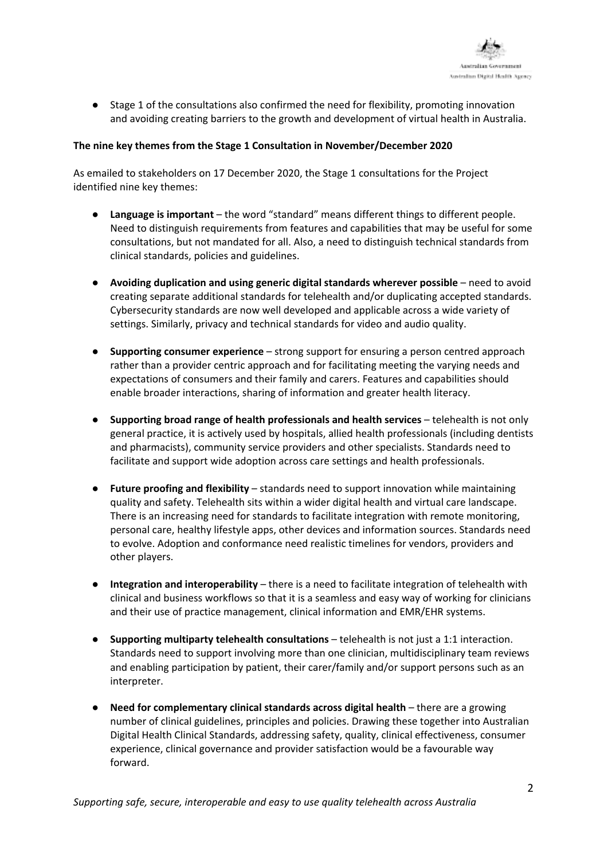

● Stage 1 of the consultations also confirmed the need for flexibility, promoting innovation and avoiding creating barriers to the growth and development of virtual health in Australia.

#### **The nine key themes from the Stage 1 Consultation in November/December 2020**

As emailed to stakeholders on 17 December 2020, the Stage 1 consultations for the Project identified nine key themes:

- **Language is important** the word "standard" means different things to different people. Need to distinguish requirements from features and capabilities that may be useful for some consultations, but not mandated for all. Also, a need to distinguish technical standards from clinical standards, policies and guidelines.
- **Avoiding duplication and using generic digital standards wherever possible** need to avoid creating separate additional standards for telehealth and/or duplicating accepted standards. Cybersecurity standards are now well developed and applicable across a wide variety of settings. Similarly, privacy and technical standards for video and audio quality.
- **Supporting consumer experience** strong support for ensuring a person centred approach rather than a provider centric approach and for facilitating meeting the varying needs and expectations of consumers and their family and carers. Features and capabilities should enable broader interactions, sharing of information and greater health literacy.
- **Supporting broad range of health professionals and health services** telehealth is not only general practice, it is actively used by hospitals, allied health professionals (including dentists and pharmacists), community service providers and other specialists. Standards need to facilitate and support wide adoption across care settings and health professionals.
- **Future proofing and flexibility** standards need to support innovation while maintaining quality and safety. Telehealth sits within a wider digital health and virtual care landscape. There is an increasing need for standards to facilitate integration with remote monitoring, personal care, healthy lifestyle apps, other devices and information sources. Standards need to evolve. Adoption and conformance need realistic timelines for vendors, providers and other players.
- **Integration and interoperability** there is a need to facilitate integration of telehealth with clinical and business workflows so that it is a seamless and easy way of working for clinicians and their use of practice management, clinical information and EMR/EHR systems.
- **Supporting multiparty telehealth consultations** telehealth is not just a 1:1 interaction. Standards need to support involving more than one clinician, multidisciplinary team reviews and enabling participation by patient, their carer/family and/or support persons such as an interpreter.
- **Need for complementary clinical standards across digital health** there are a growing number of clinical guidelines, principles and policies. Drawing these together into Australian Digital Health Clinical Standards, addressing safety, quality, clinical effectiveness, consumer experience, clinical governance and provider satisfaction would be a favourable way forward.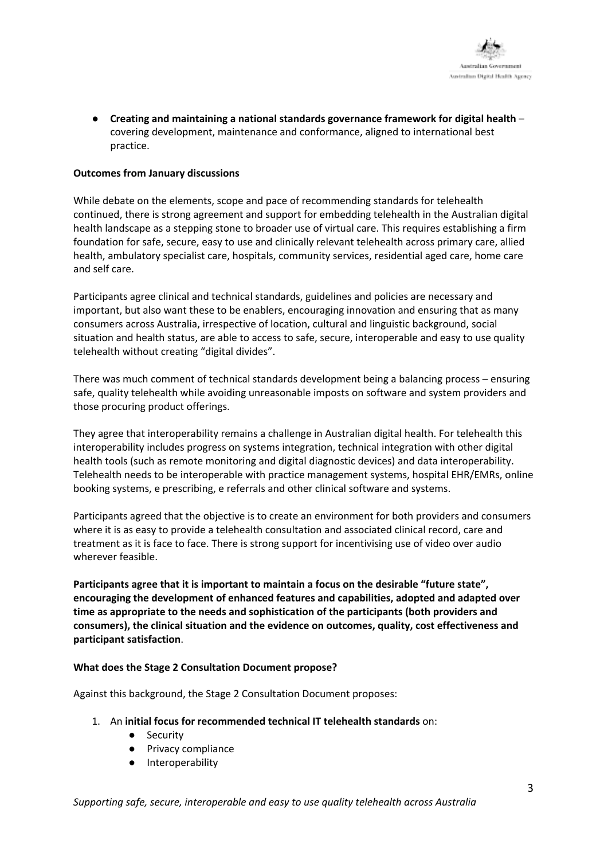● **Creating and maintaining a national standards governance framework for digital health** – covering development, maintenance and conformance, aligned to international best practice.

#### **Outcomes from January discussions**

While debate on the elements, scope and pace of recommending standards for telehealth continued, there is strong agreement and support for embedding telehealth in the Australian digital health landscape as a stepping stone to broader use of virtual care. This requires establishing a firm foundation for safe, secure, easy to use and clinically relevant telehealth across primary care, allied health, ambulatory specialist care, hospitals, community services, residential aged care, home care and self care.

Participants agree clinical and technical standards, guidelines and policies are necessary and important, but also want these to be enablers, encouraging innovation and ensuring that as many consumers across Australia, irrespective of location, cultural and linguistic background, social situation and health status, are able to access to safe, secure, interoperable and easy to use quality telehealth without creating "digital divides".

There was much comment of technical standards development being a balancing process – ensuring safe, quality telehealth while avoiding unreasonable imposts on software and system providers and those procuring product offerings.

They agree that interoperability remains a challenge in Australian digital health. For telehealth this interoperability includes progress on systems integration, technical integration with other digital health tools (such as remote monitoring and digital diagnostic devices) and data interoperability. Telehealth needs to be interoperable with practice management systems, hospital EHR/EMRs, online booking systems, e prescribing, e referrals and other clinical software and systems.

Participants agreed that the objective is to create an environment for both providers and consumers where it is as easy to provide a telehealth consultation and associated clinical record, care and treatment as it is face to face. There is strong support for incentivising use of video over audio wherever feasible.

**Participants agree that it is important to maintain a focus on the desirable "future state", encouraging the development of enhanced features and capabilities, adopted and adapted over time as appropriate to the needs and sophistication of the participants (both providers and consumers), the clinical situation and the evidence on outcomes, quality, cost effectiveness and participant satisfaction**.

#### **What does the Stage 2 Consultation Document propose?**

Against this background, the Stage 2 Consultation Document proposes:

- 1. An **initial focus for recommended technical IT telehealth standards** on:
	- Security
	- Privacy compliance
	- Interoperability